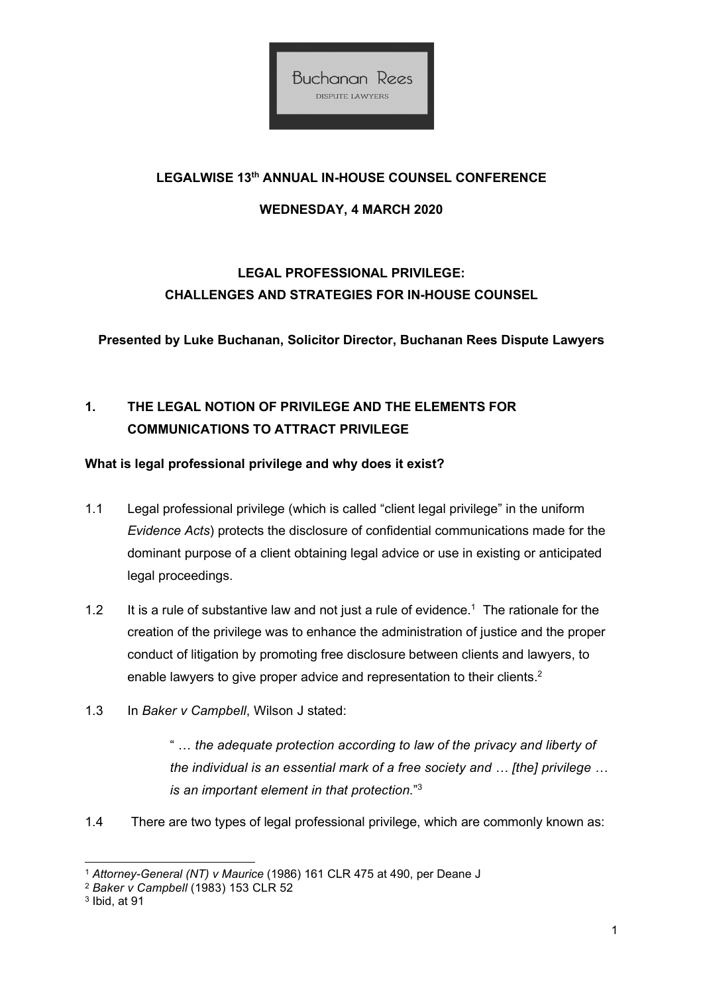

### LEGALWISE 13<sup>th</sup> ANNUAL IN-HOUSE COUNSEL CONFERENCE

### WEDNESDAY, 4 MARCH 2020

## LEGAL PROFESSIONAL PRIVILEGE: CHALLENGES AND STRATEGIES FOR IN-HOUSE COUNSEL

Presented by Luke Buchanan, Solicitor Director, Buchanan Rees Dispute Lawyers

# 1. THE LEGAL NOTION OF PRIVILEGE AND THE ELEMENTS FOR COMMUNICATIONS TO ATTRACT PRIVILEGE

### What is legal professional privilege and why does it exist?

- 1.1 Legal professional privilege (which is called "client legal privilege" in the uniform Evidence Acts) protects the disclosure of confidential communications made for the dominant purpose of a client obtaining legal advice or use in existing or anticipated legal proceedings.
- 1.2 It is a rule of substantive law and not just a rule of evidence.<sup>1</sup> The rationale for the creation of the privilege was to enhance the administration of justice and the proper conduct of litigation by promoting free disclosure between clients and lawyers, to enable lawyers to give proper advice and representation to their clients.<sup>2</sup>
- 1.3 In Baker v Campbell, Wilson J stated:

" … the adequate protection according to law of the privacy and liberty of the individual is an essential mark of a free society and … [the] privilege … is an important element in that protection."<sup>3</sup>

1.4 There are two types of legal professional privilege, which are commonly known as:

<sup>1</sup> Attorney-General (NT) v Maurice (1986) 161 CLR 475 at 490, per Deane J

<sup>2</sup> Baker v Campbell (1983) 153 CLR 52

 $^{\rm 3}$  Ibid, at 91  $\,$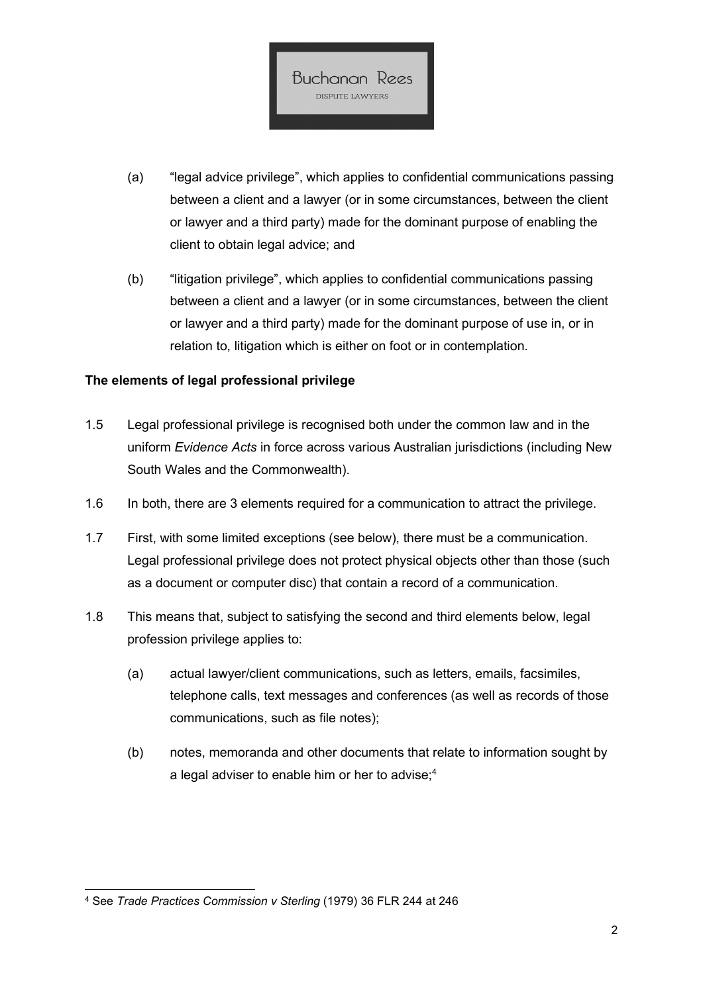

- (a) "legal advice privilege", which applies to confidential communications passing between a client and a lawyer (or in some circumstances, between the client or lawyer and a third party) made for the dominant purpose of enabling the client to obtain legal advice; and
- (b) "litigation privilege", which applies to confidential communications passing between a client and a lawyer (or in some circumstances, between the client or lawyer and a third party) made for the dominant purpose of use in, or in relation to, litigation which is either on foot or in contemplation.

### The elements of legal professional privilege

- 1.5 Legal professional privilege is recognised both under the common law and in the uniform Evidence Acts in force across various Australian jurisdictions (including New South Wales and the Commonwealth).
- 1.6 In both, there are 3 elements required for a communication to attract the privilege.
- 1.7 First, with some limited exceptions (see below), there must be a communication. Legal professional privilege does not protect physical objects other than those (such as a document or computer disc) that contain a record of a communication.
- 1.8 This means that, subject to satisfying the second and third elements below, legal profession privilege applies to:
	- (a) actual lawyer/client communications, such as letters, emails, facsimiles, telephone calls, text messages and conferences (as well as records of those communications, such as file notes);
	- (b) notes, memoranda and other documents that relate to information sought by a legal adviser to enable him or her to advise; $4$

<sup>4</sup> See Trade Practices Commission v Sterling (1979) 36 FLR 244 at 246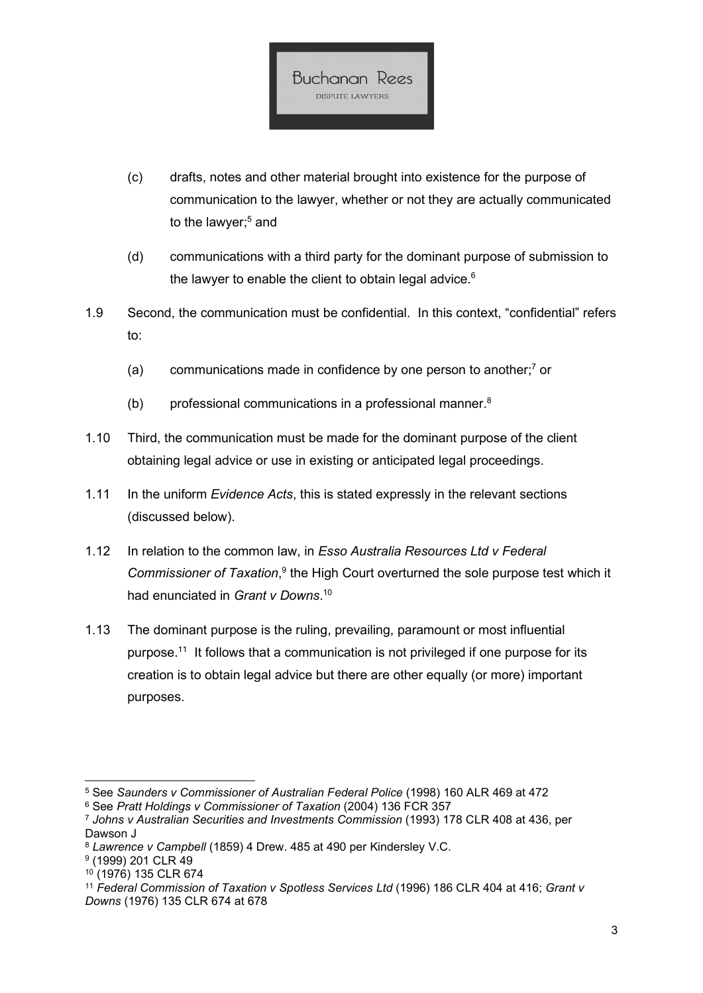

- (c) drafts, notes and other material brought into existence for the purpose of communication to the lawyer, whether or not they are actually communicated to the lawyer;<sup>5</sup> and
- (d) communications with a third party for the dominant purpose of submission to the lawyer to enable the client to obtain legal advice. $6$
- 1.9 Second, the communication must be confidential. In this context, "confidential" refers to:
	- (a) communications made in confidence by one person to another; $\frac{7}{7}$  or
	- (b) professional communications in a professional manner.<sup>8</sup>
- 1.10 Third, the communication must be made for the dominant purpose of the client obtaining legal advice or use in existing or anticipated legal proceedings.
- 1.11 In the uniform Evidence Acts, this is stated expressly in the relevant sections (discussed below).
- 1.12 In relation to the common law, in Esso Australia Resources Ltd v Federal Commissioner of Taxation,<sup>9</sup> the High Court overturned the sole purpose test which it had enunciated in Grant v Downs.<sup>10</sup>
- 1.13 The dominant purpose is the ruling, prevailing, paramount or most influential purpose.<sup>11</sup> It follows that a communication is not privileged if one purpose for its creation is to obtain legal advice but there are other equally (or more) important purposes.

<sup>5</sup> See Saunders v Commissioner of Australian Federal Police (1998) 160 ALR 469 at 472

<sup>6</sup> See Pratt Holdings v Commissioner of Taxation (2004) 136 FCR 357

<sup>7</sup> Johns v Australian Securities and Investments Commission (1993) 178 CLR 408 at 436, per Dawson J

<sup>8</sup> Lawrence v Campbell (1859) 4 Drew. 485 at 490 per Kindersley V.C.

<sup>9</sup> (1999) 201 CLR 49

<sup>10</sup> (1976) 135 CLR 674

<sup>&</sup>lt;sup>11</sup> Federal Commission of Taxation v Spotless Services Ltd (1996) 186 CLR 404 at 416; Grant v Downs (1976) 135 CLR 674 at 678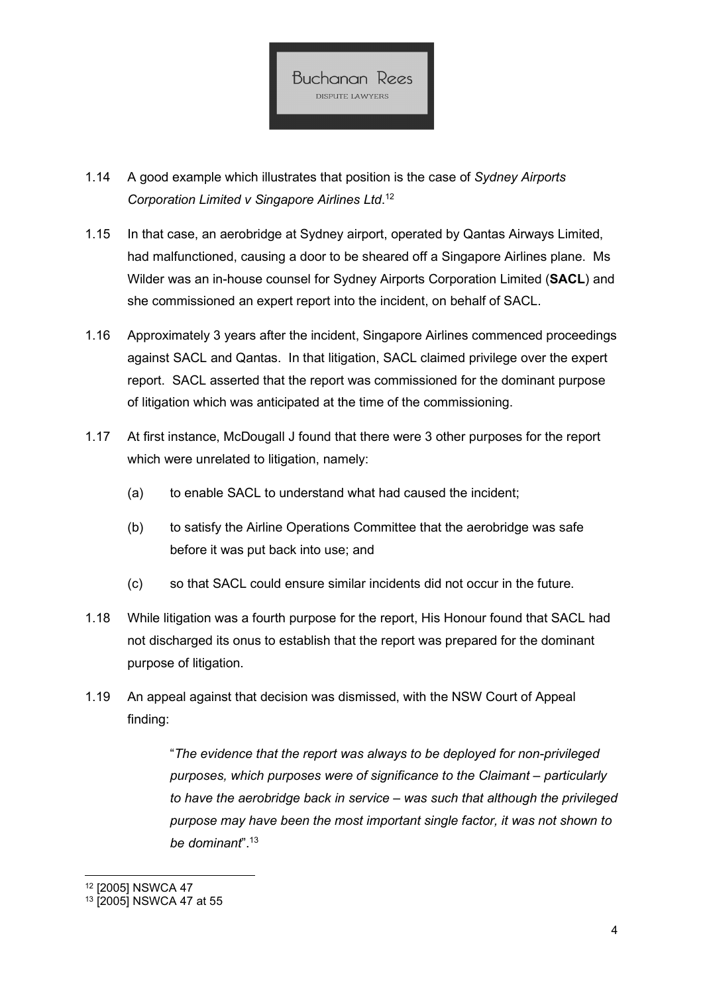

- 1.14 A good example which illustrates that position is the case of Sydney Airports Corporation Limited v Singapore Airlines Ltd. 12
- 1.15 In that case, an aerobridge at Sydney airport, operated by Qantas Airways Limited, had malfunctioned, causing a door to be sheared off a Singapore Airlines plane. Ms Wilder was an in-house counsel for Sydney Airports Corporation Limited (SACL) and she commissioned an expert report into the incident, on behalf of SACL.
- 1.16 Approximately 3 years after the incident, Singapore Airlines commenced proceedings against SACL and Qantas. In that litigation, SACL claimed privilege over the expert report. SACL asserted that the report was commissioned for the dominant purpose of litigation which was anticipated at the time of the commissioning.
- 1.17 At first instance, McDougall J found that there were 3 other purposes for the report which were unrelated to litigation, namely:
	- (a) to enable SACL to understand what had caused the incident;
	- (b) to satisfy the Airline Operations Committee that the aerobridge was safe before it was put back into use; and
	- (c) so that SACL could ensure similar incidents did not occur in the future.
- 1.18 While litigation was a fourth purpose for the report, His Honour found that SACL had not discharged its onus to establish that the report was prepared for the dominant purpose of litigation.
- 1.19 An appeal against that decision was dismissed, with the NSW Court of Appeal finding:

"The evidence that the report was always to be deployed for non-privileged purposes, which purposes were of significance to the Claimant – particularly to have the aerobridge back in service – was such that although the privileged purpose may have been the most important single factor, it was not shown to be dominant".<sup>13</sup>

<sup>12</sup> [2005] NSWCA 47

<sup>13</sup> [2005] NSWCA 47 at 55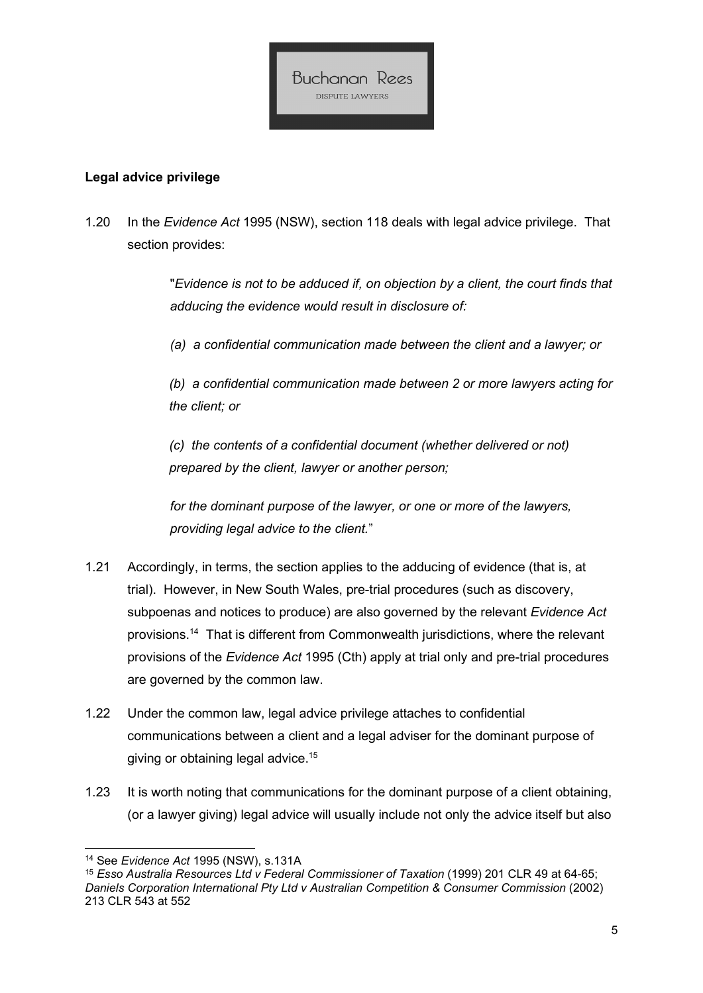

### Legal advice privilege

1.20 In the Evidence Act 1995 (NSW), section 118 deals with legal advice privilege. That section provides:

> "Evidence is not to be adduced if, on objection by a client, the court finds that adducing the evidence would result in disclosure of:

(a) a confidential communication made between the client and a lawyer; or

(b) a confidential communication made between 2 or more lawyers acting for the client; or

(c) the contents of a confidential document (whether delivered or not) prepared by the client, lawyer or another person;

for the dominant purpose of the lawyer, or one or more of the lawyers, providing legal advice to the client."

- 1.21 Accordingly, in terms, the section applies to the adducing of evidence (that is, at trial). However, in New South Wales, pre-trial procedures (such as discovery, subpoenas and notices to produce) are also governed by the relevant Evidence Act provisions.<sup>14</sup> That is different from Commonwealth jurisdictions, where the relevant provisions of the Evidence Act 1995 (Cth) apply at trial only and pre-trial procedures are governed by the common law.
- 1.22 Under the common law, legal advice privilege attaches to confidential communications between a client and a legal adviser for the dominant purpose of giving or obtaining legal advice.<sup>15</sup>
- 1.23 It is worth noting that communications for the dominant purpose of a client obtaining, (or a lawyer giving) legal advice will usually include not only the advice itself but also

<sup>&</sup>lt;sup>14</sup> See Evidence Act 1995 (NSW), s.131A

<sup>15</sup> Esso Australia Resources Ltd v Federal Commissioner of Taxation (1999) 201 CLR 49 at 64-65; Daniels Corporation International Pty Ltd v Australian Competition & Consumer Commission (2002) 213 CLR 543 at 552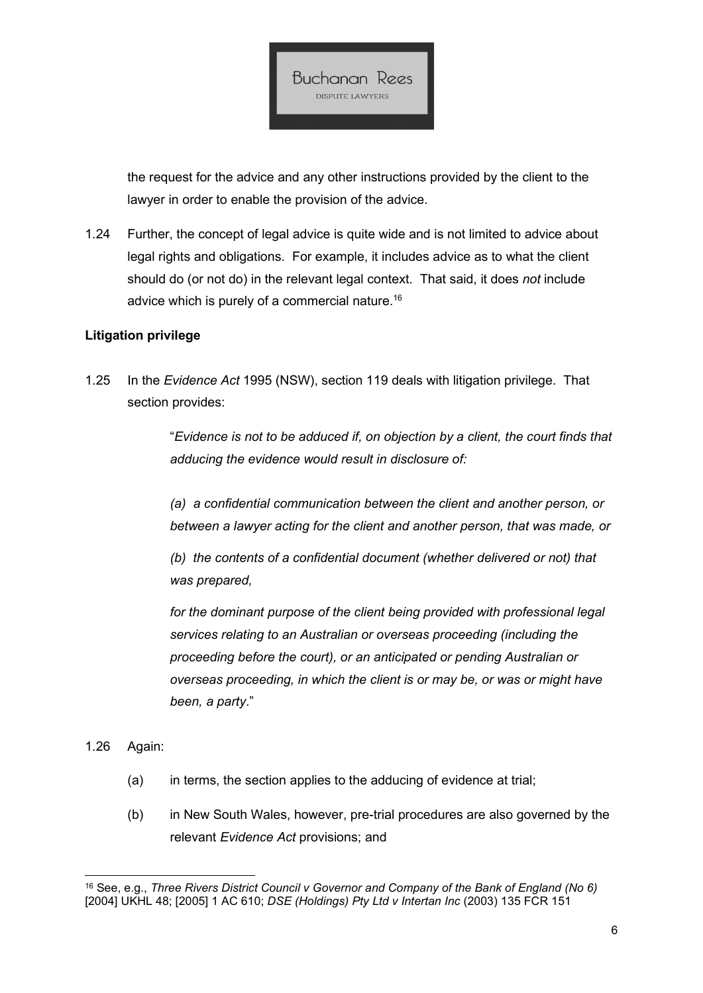

the request for the advice and any other instructions provided by the client to the lawyer in order to enable the provision of the advice.

1.24 Further, the concept of legal advice is quite wide and is not limited to advice about legal rights and obligations. For example, it includes advice as to what the client should do (or not do) in the relevant legal context. That said, it does not include advice which is purely of a commercial nature.<sup>16</sup>

### Litigation privilege

1.25 In the Evidence Act 1995 (NSW), section 119 deals with litigation privilege. That section provides:

> "Evidence is not to be adduced if, on objection by a client, the court finds that adducing the evidence would result in disclosure of:

> (a) a confidential communication between the client and another person, or between a lawyer acting for the client and another person, that was made, or

(b) the contents of a confidential document (whether delivered or not) that was prepared,

for the dominant purpose of the client being provided with professional legal services relating to an Australian or overseas proceeding (including the proceeding before the court), or an anticipated or pending Australian or overseas proceeding, in which the client is or may be, or was or might have been, a party."

- 1.26 Again:
	- (a) in terms, the section applies to the adducing of evidence at trial;
	- (b) in New South Wales, however, pre-trial procedures are also governed by the relevant Evidence Act provisions; and

<sup>16</sup> See, e.g., Three Rivers District Council v Governor and Company of the Bank of England (No 6) [2004] UKHL 48; [2005] 1 AC 610; DSE (Holdings) Pty Ltd v Intertan Inc (2003) 135 FCR 151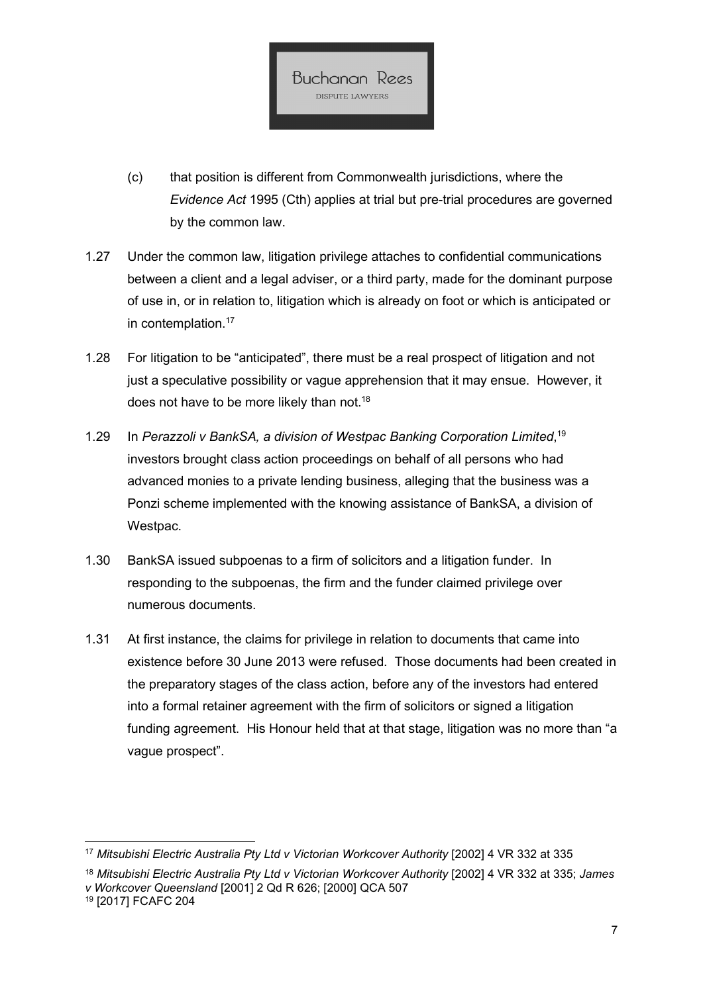

- (c) that position is different from Commonwealth jurisdictions, where the Evidence Act 1995 (Cth) applies at trial but pre-trial procedures are governed by the common law.
- 1.27 Under the common law, litigation privilege attaches to confidential communications between a client and a legal adviser, or a third party, made for the dominant purpose of use in, or in relation to, litigation which is already on foot or which is anticipated or in contemplation.<sup>17</sup>
- 1.28 For litigation to be "anticipated", there must be a real prospect of litigation and not just a speculative possibility or vague apprehension that it may ensue. However, it does not have to be more likely than not.<sup>18</sup>
- 1.29 In Perazzoli v BankSA, a division of Westpac Banking Corporation Limited,<sup>19</sup> investors brought class action proceedings on behalf of all persons who had advanced monies to a private lending business, alleging that the business was a Ponzi scheme implemented with the knowing assistance of BankSA, a division of Westpac.
- 1.30 BankSA issued subpoenas to a firm of solicitors and a litigation funder. In responding to the subpoenas, the firm and the funder claimed privilege over numerous documents.
- 1.31 At first instance, the claims for privilege in relation to documents that came into existence before 30 June 2013 were refused. Those documents had been created in the preparatory stages of the class action, before any of the investors had entered into a formal retainer agreement with the firm of solicitors or signed a litigation funding agreement. His Honour held that at that stage, litigation was no more than "a vague prospect".

<sup>17</sup> Mitsubishi Electric Australia Pty Ltd v Victorian Workcover Authority [2002] 4 VR 332 at 335

<sup>&</sup>lt;sup>18</sup> Mitsubishi Electric Australia Pty Ltd v Victorian Workcover Authority [2002] 4 VR 332 at 335; James v Workcover Queensland [2001] 2 Qd R 626; [2000] QCA 507

<sup>19</sup> [2017] FCAFC 204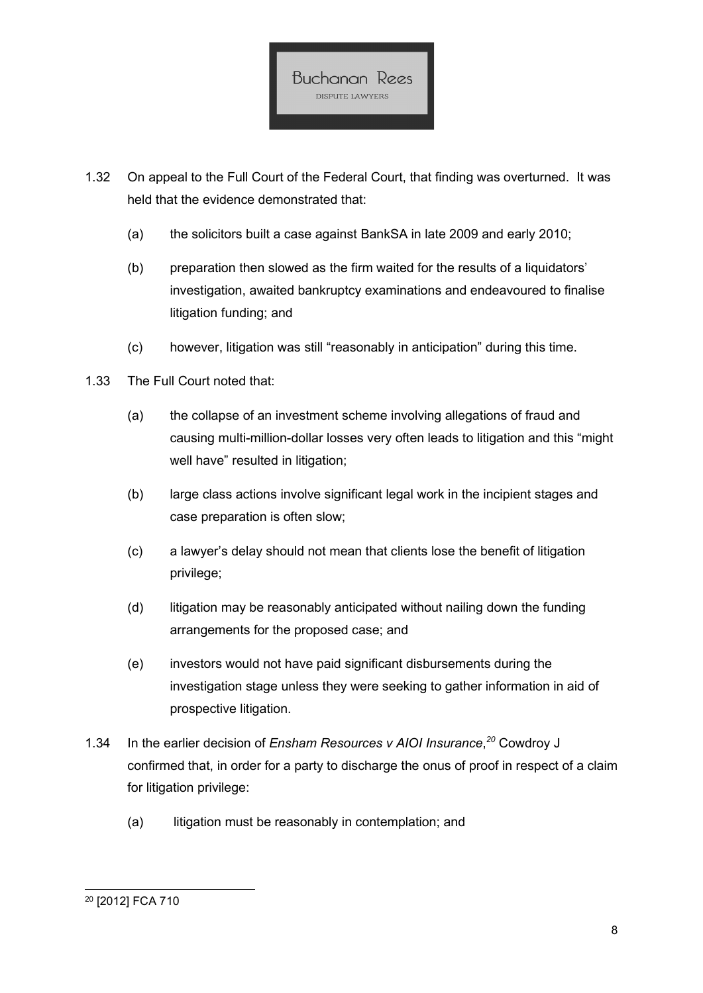

- 1.32 On appeal to the Full Court of the Federal Court, that finding was overturned. It was held that the evidence demonstrated that:
	- (a) the solicitors built a case against BankSA in late 2009 and early 2010;
	- (b) preparation then slowed as the firm waited for the results of a liquidators' investigation, awaited bankruptcy examinations and endeavoured to finalise litigation funding; and
	- (c) however, litigation was still "reasonably in anticipation" during this time.
- 1.33 The Full Court noted that:
	- (a) the collapse of an investment scheme involving allegations of fraud and causing multi-million-dollar losses very often leads to litigation and this "might well have" resulted in litigation;
	- (b) large class actions involve significant legal work in the incipient stages and case preparation is often slow;
	- (c) a lawyer's delay should not mean that clients lose the benefit of litigation privilege;
	- (d) litigation may be reasonably anticipated without nailing down the funding arrangements for the proposed case; and
	- (e) investors would not have paid significant disbursements during the investigation stage unless they were seeking to gather information in aid of prospective litigation.
- 1.34 In the earlier decision of Ensham Resources v AIOI Insurance, $20$  Cowdroy J confirmed that, in order for a party to discharge the onus of proof in respect of a claim for litigation privilege:
	- (a) litigation must be reasonably in contemplation; and

<sup>20</sup> [2012] FCA 710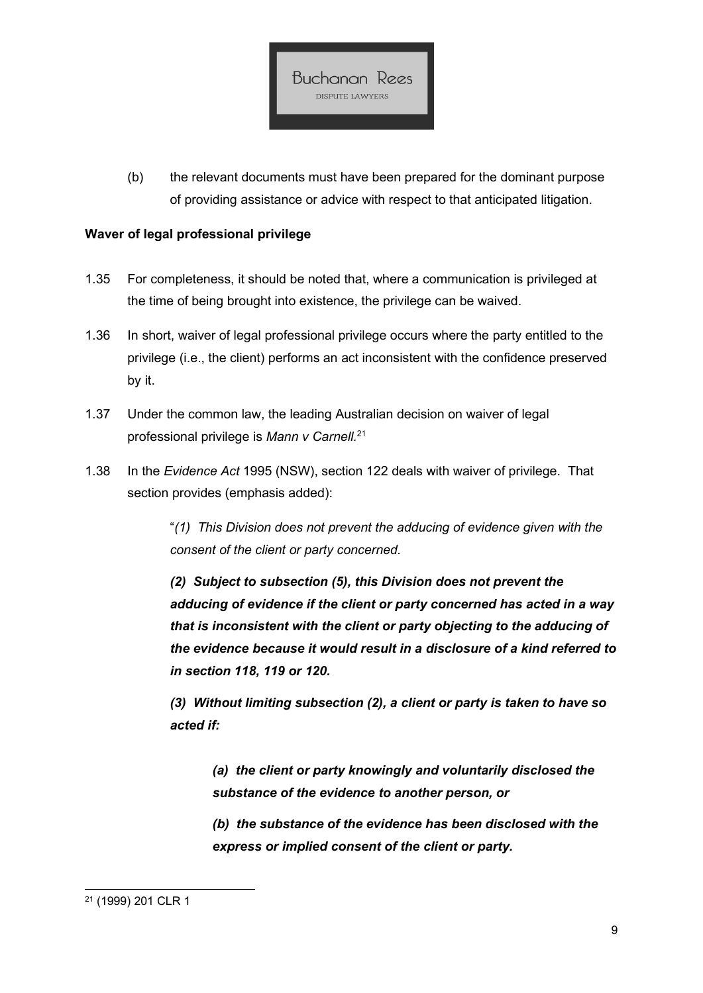

(b) the relevant documents must have been prepared for the dominant purpose of providing assistance or advice with respect to that anticipated litigation.

### Waver of legal professional privilege

- 1.35 For completeness, it should be noted that, where a communication is privileged at the time of being brought into existence, the privilege can be waived.
- 1.36 In short, waiver of legal professional privilege occurs where the party entitled to the privilege (i.e., the client) performs an act inconsistent with the confidence preserved by it.
- 1.37 Under the common law, the leading Australian decision on waiver of legal professional privilege is Mann  $v$  Carnell.<sup>21</sup>
- 1.38 In the Evidence Act 1995 (NSW), section 122 deals with waiver of privilege. That section provides (emphasis added):

"(1) This Division does not prevent the adducing of evidence given with the consent of the client or party concerned.

(2) Subject to subsection (5), this Division does not prevent the adducing of evidence if the client or party concerned has acted in a way that is inconsistent with the client or party objecting to the adducing of the evidence because it would result in a disclosure of a kind referred to in section 118, 119 or 120.

(3) Without limiting subsection (2), a client or party is taken to have so acted if:

(a) the client or party knowingly and voluntarily disclosed the substance of the evidence to another person, or

(b) the substance of the evidence has been disclosed with the express or implied consent of the client or party.

<sup>21</sup> (1999) 201 CLR 1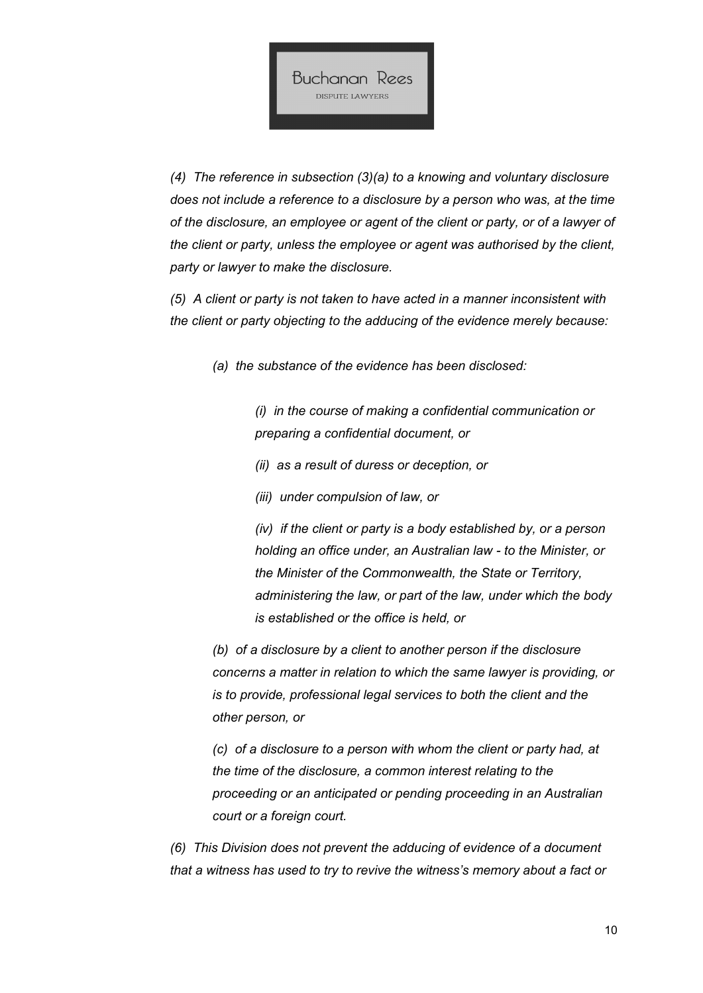

(4) The reference in subsection  $(3)(a)$  to a knowing and voluntary disclosure does not include a reference to a disclosure by a person who was, at the time of the disclosure, an employee or agent of the client or party, or of a lawyer of the client or party, unless the employee or agent was authorised by the client, party or lawyer to make the disclosure.

(5) A client or party is not taken to have acted in a manner inconsistent with the client or party objecting to the adducing of the evidence merely because:

(a) the substance of the evidence has been disclosed:

(i) in the course of making a confidential communication or preparing a confidential document, or

- (ii) as a result of duress or deception, or
- (iii) under compulsion of law, or

(iv) if the client or party is a body established by, or a person holding an office under, an Australian law - to the Minister, or the Minister of the Commonwealth, the State or Territory, administering the law, or part of the law, under which the body is established or the office is held, or

(b) of a disclosure by a client to another person if the disclosure concerns a matter in relation to which the same lawyer is providing, or is to provide, professional legal services to both the client and the other person, or

(c) of a disclosure to a person with whom the client or party had, at the time of the disclosure, a common interest relating to the proceeding or an anticipated or pending proceeding in an Australian court or a foreign court.

(6) This Division does not prevent the adducing of evidence of a document that a witness has used to try to revive the witness's memory about a fact or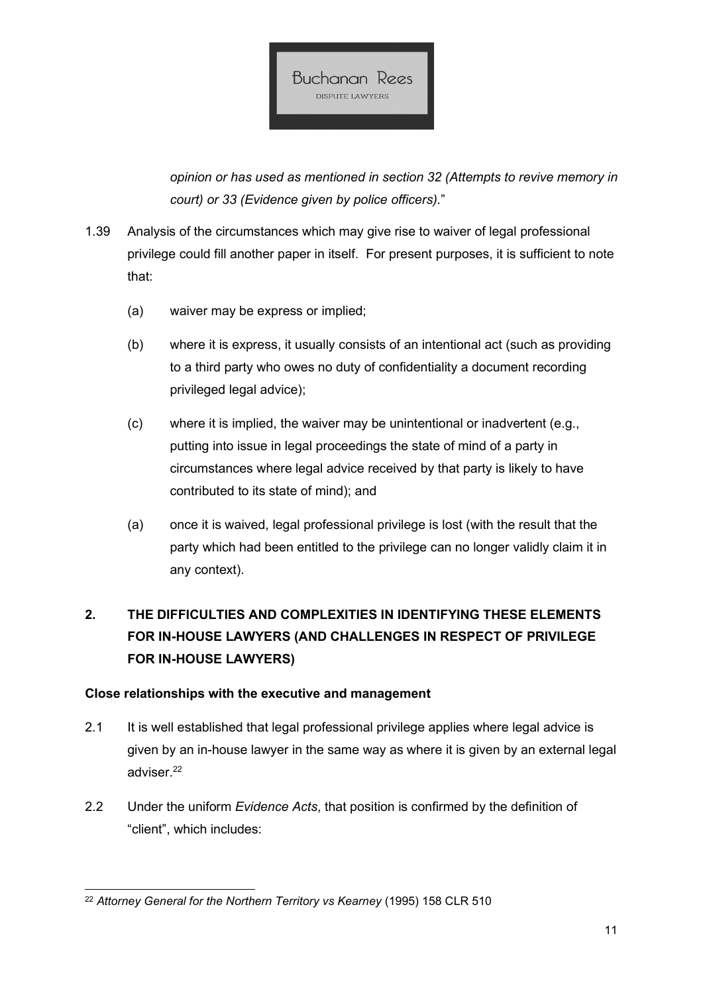

opinion or has used as mentioned in section 32 (Attempts to revive memory in court) or 33 (Evidence given by police officers)."

- 1.39 Analysis of the circumstances which may give rise to waiver of legal professional privilege could fill another paper in itself. For present purposes, it is sufficient to note that:
	- (a) waiver may be express or implied;
	- (b) where it is express, it usually consists of an intentional act (such as providing to a third party who owes no duty of confidentiality a document recording privileged legal advice);
	- (c) where it is implied, the waiver may be unintentional or inadvertent (e.g., putting into issue in legal proceedings the state of mind of a party in circumstances where legal advice received by that party is likely to have contributed to its state of mind); and
	- (a) once it is waived, legal professional privilege is lost (with the result that the party which had been entitled to the privilege can no longer validly claim it in any context).

# 2. THE DIFFICULTIES AND COMPLEXITIES IN IDENTIFYING THESE ELEMENTS FOR IN-HOUSE LAWYERS (AND CHALLENGES IN RESPECT OF PRIVILEGE FOR IN-HOUSE LAWYERS)

### Close relationships with the executive and management

- 2.1 It is well established that legal professional privilege applies where legal advice is given by an in-house lawyer in the same way as where it is given by an external legal adviser.<sup>22</sup>
- 2.2 Under the uniform *Evidence Acts*, that position is confirmed by the definition of "client", which includes:

<sup>&</sup>lt;sup>22</sup> Attorney General for the Northern Territory vs Kearney (1995) 158 CLR 510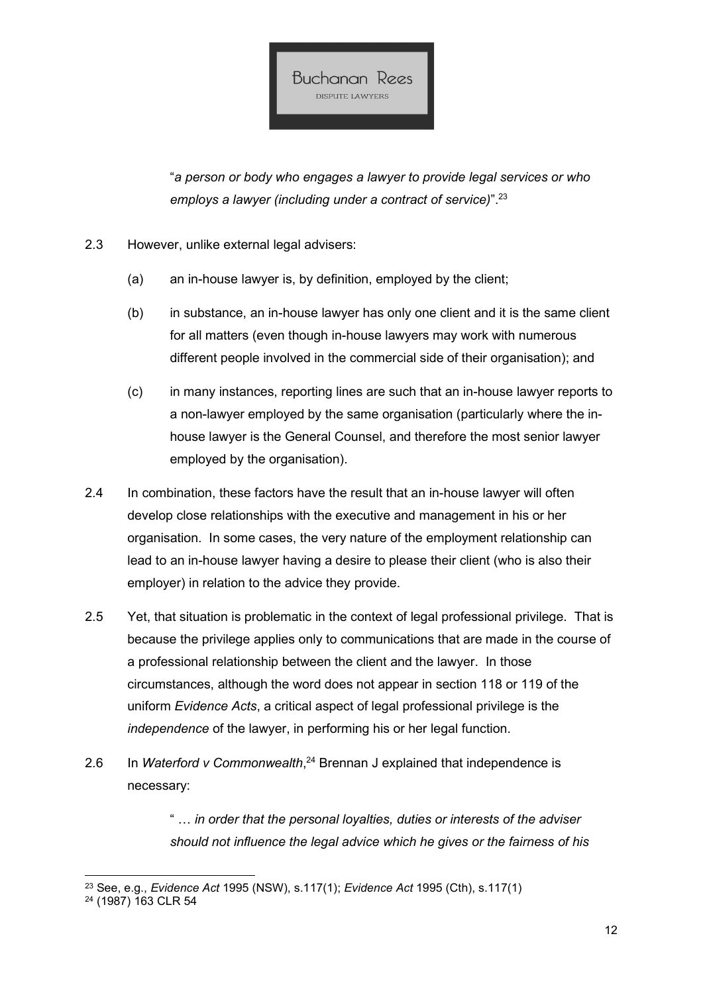

"a person or body who engages a lawyer to provide legal services or who employs a lawyer (including under a contract of service)".<sup>23</sup>

- 2.3 However, unlike external legal advisers:
	- (a) an in-house lawyer is, by definition, employed by the client;
	- (b) in substance, an in-house lawyer has only one client and it is the same client for all matters (even though in-house lawyers may work with numerous different people involved in the commercial side of their organisation); and
	- (c) in many instances, reporting lines are such that an in-house lawyer reports to a non-lawyer employed by the same organisation (particularly where the inhouse lawyer is the General Counsel, and therefore the most senior lawyer employed by the organisation).
- 2.4 In combination, these factors have the result that an in-house lawyer will often develop close relationships with the executive and management in his or her organisation. In some cases, the very nature of the employment relationship can lead to an in-house lawyer having a desire to please their client (who is also their employer) in relation to the advice they provide.
- 2.5 Yet, that situation is problematic in the context of legal professional privilege. That is because the privilege applies only to communications that are made in the course of a professional relationship between the client and the lawyer. In those circumstances, although the word does not appear in section 118 or 119 of the uniform Evidence Acts, a critical aspect of legal professional privilege is the independence of the lawyer, in performing his or her legal function.
- 2.6 In Waterford v Commonwealth,  $24$  Brennan J explained that independence is necessary:

" … in order that the personal loyalties, duties or interests of the adviser should not influence the legal advice which he gives or the fairness of his

<sup>23</sup> See, e.g., Evidence Act 1995 (NSW), s.117(1); Evidence Act 1995 (Cth), s.117(1)

<sup>24</sup> (1987) 163 CLR 54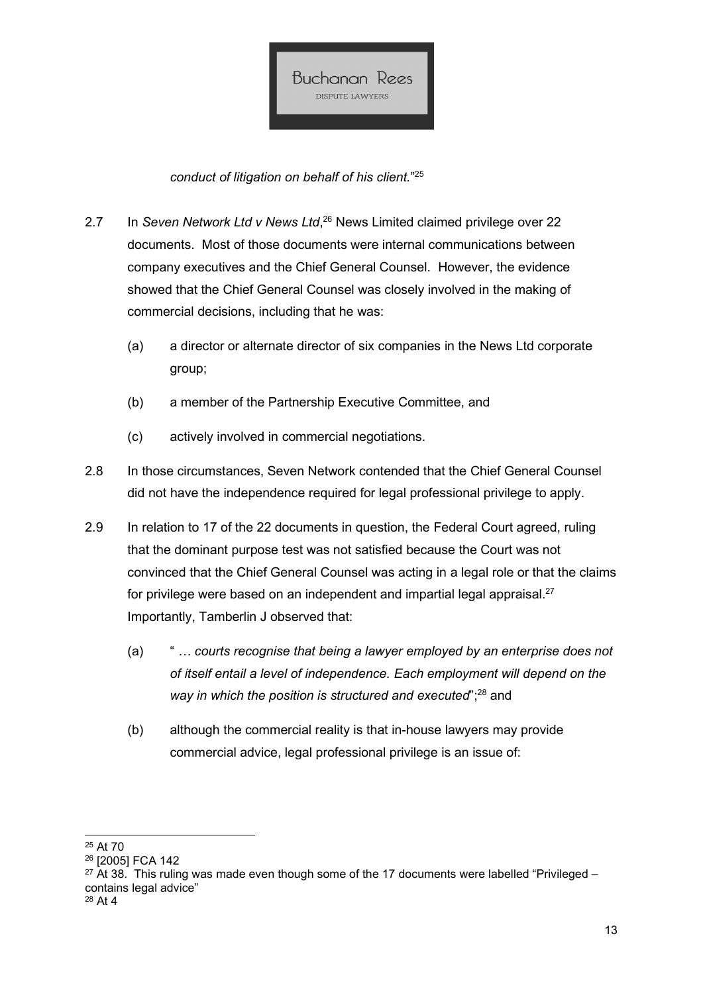

conduct of litigation on behalf of his client." 25

- 2.7 In Seven Network Ltd v News Ltd,<sup>26</sup> News Limited claimed privilege over 22 documents. Most of those documents were internal communications between company executives and the Chief General Counsel. However, the evidence showed that the Chief General Counsel was closely involved in the making of commercial decisions, including that he was:
	- (a) a director or alternate director of six companies in the News Ltd corporate group;
	- (b) a member of the Partnership Executive Committee, and
	- (c) actively involved in commercial negotiations.
- 2.8 In those circumstances, Seven Network contended that the Chief General Counsel did not have the independence required for legal professional privilege to apply.
- 2.9 In relation to 17 of the 22 documents in question, the Federal Court agreed, ruling that the dominant purpose test was not satisfied because the Court was not convinced that the Chief General Counsel was acting in a legal role or that the claims for privilege were based on an independent and impartial legal appraisal. $27$ Importantly, Tamberlin J observed that:
	- (a) " … courts recognise that being a lawyer employed by an enterprise does not of itself entail a level of independence. Each employment will depend on the way in which the position is structured and executed"; $^{28}$  and
	- (b) although the commercial reality is that in-house lawyers may provide commercial advice, legal professional privilege is an issue of:

13

<sup>25</sup> At 70

<sup>26</sup> [2005] FCA 142

 $27$  At 38. This ruling was made even though some of the 17 documents were labelled "Privileged – contains legal advice" 28 At 4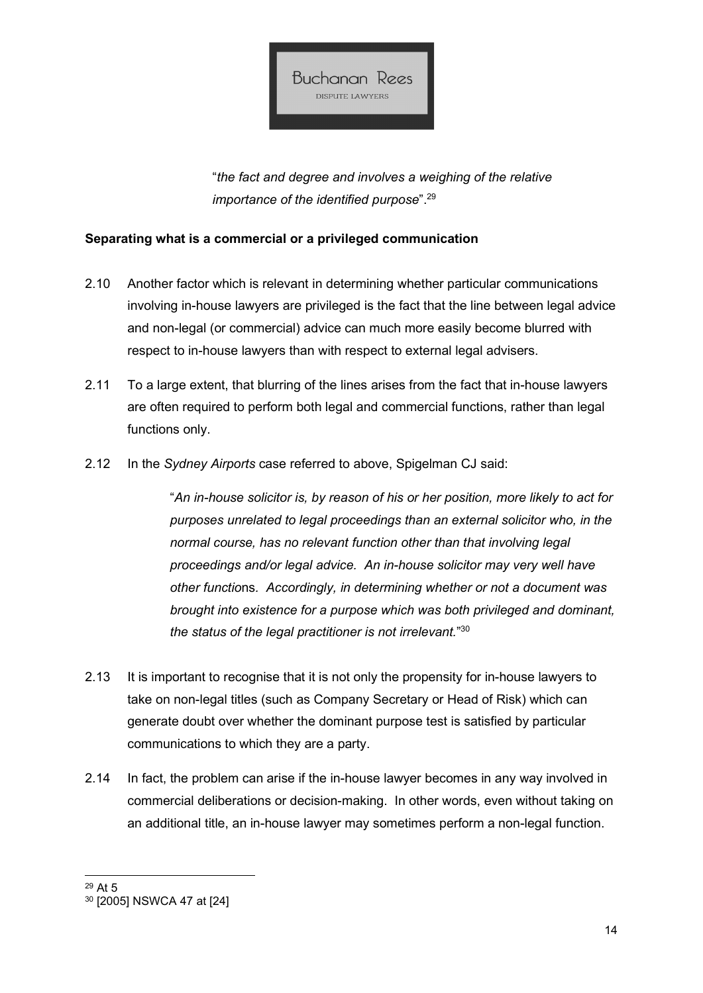

"the fact and degree and involves a weighing of the relative importance of the identified purpose".<sup>29</sup>

### Separating what is a commercial or a privileged communication

- 2.10 Another factor which is relevant in determining whether particular communications involving in-house lawyers are privileged is the fact that the line between legal advice and non-legal (or commercial) advice can much more easily become blurred with respect to in-house lawyers than with respect to external legal advisers.
- 2.11 To a large extent, that blurring of the lines arises from the fact that in-house lawyers are often required to perform both legal and commercial functions, rather than legal functions only.
- 2.12 In the Sydney Airports case referred to above, Spigelman CJ said:

"An in-house solicitor is, by reason of his or her position, more likely to act for purposes unrelated to legal proceedings than an external solicitor who, in the normal course, has no relevant function other than that involving legal proceedings and/or legal advice. An in-house solicitor may very well have other functions. Accordingly, in determining whether or not a document was brought into existence for a purpose which was both privileged and dominant, the status of the legal practitioner is not irrelevant."<sup>30</sup>

- 2.13 It is important to recognise that it is not only the propensity for in-house lawyers to take on non-legal titles (such as Company Secretary or Head of Risk) which can generate doubt over whether the dominant purpose test is satisfied by particular communications to which they are a party.
- 2.14 In fact, the problem can arise if the in-house lawyer becomes in any way involved in commercial deliberations or decision-making. In other words, even without taking on an additional title, an in-house lawyer may sometimes perform a non-legal function.

<sup>29</sup> At 5

<sup>30</sup> [2005] NSWCA 47 at [24]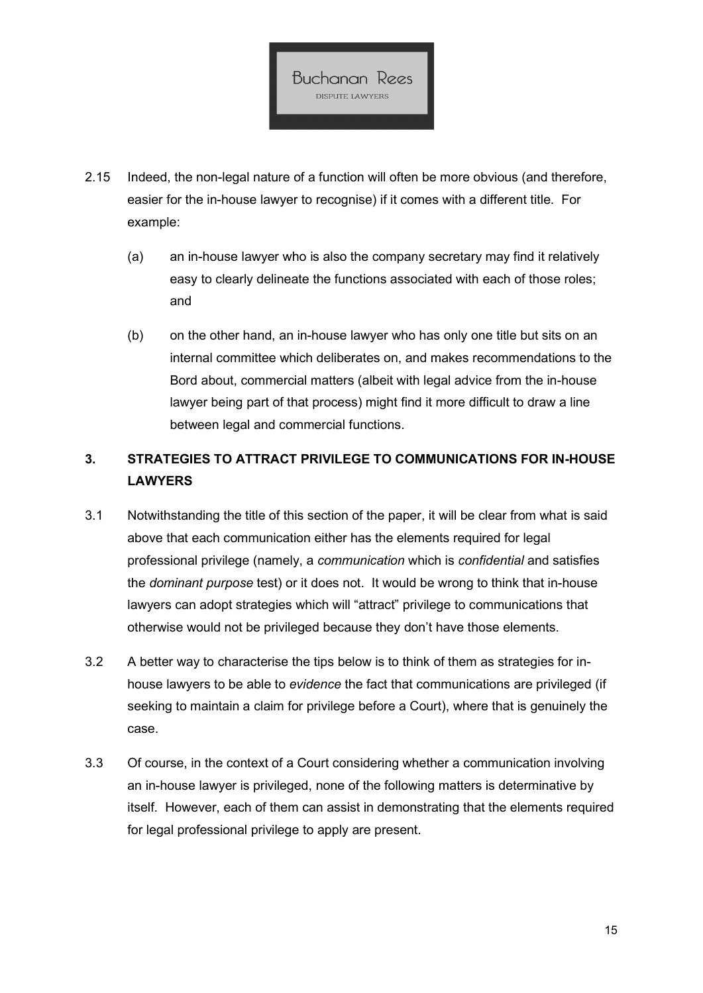

- 2.15 Indeed, the non-legal nature of a function will often be more obvious (and therefore, easier for the in-house lawyer to recognise) if it comes with a different title. For example:
	- (a) an in-house lawyer who is also the company secretary may find it relatively easy to clearly delineate the functions associated with each of those roles; and
	- (b) on the other hand, an in-house lawyer who has only one title but sits on an internal committee which deliberates on, and makes recommendations to the Bord about, commercial matters (albeit with legal advice from the in-house lawyer being part of that process) might find it more difficult to draw a line between legal and commercial functions.

## 3. STRATEGIES TO ATTRACT PRIVILEGE TO COMMUNICATIONS FOR IN-HOUSE **LAWYERS**

- 3.1 Notwithstanding the title of this section of the paper, it will be clear from what is said above that each communication either has the elements required for legal professional privilege (namely, a communication which is confidential and satisfies the dominant purpose test) or it does not. It would be wrong to think that in-house lawyers can adopt strategies which will "attract" privilege to communications that otherwise would not be privileged because they don't have those elements.
- 3.2 A better way to characterise the tips below is to think of them as strategies for inhouse lawyers to be able to evidence the fact that communications are privileged (if seeking to maintain a claim for privilege before a Court), where that is genuinely the case.
- 3.3 Of course, in the context of a Court considering whether a communication involving an in-house lawyer is privileged, none of the following matters is determinative by itself. However, each of them can assist in demonstrating that the elements required for legal professional privilege to apply are present.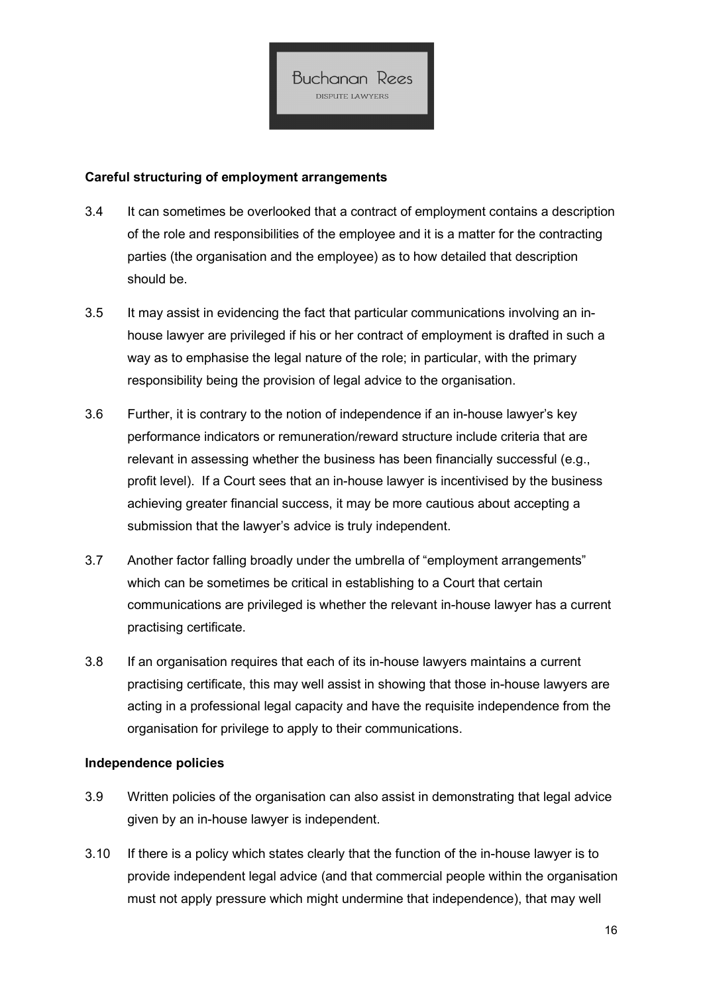

### Careful structuring of employment arrangements

- 3.4 It can sometimes be overlooked that a contract of employment contains a description of the role and responsibilities of the employee and it is a matter for the contracting parties (the organisation and the employee) as to how detailed that description should be.
- 3.5 It may assist in evidencing the fact that particular communications involving an inhouse lawyer are privileged if his or her contract of employment is drafted in such a way as to emphasise the legal nature of the role; in particular, with the primary responsibility being the provision of legal advice to the organisation.
- 3.6 Further, it is contrary to the notion of independence if an in-house lawyer's key performance indicators or remuneration/reward structure include criteria that are relevant in assessing whether the business has been financially successful (e.g., profit level). If a Court sees that an in-house lawyer is incentivised by the business achieving greater financial success, it may be more cautious about accepting a submission that the lawyer's advice is truly independent.
- 3.7 Another factor falling broadly under the umbrella of "employment arrangements" which can be sometimes be critical in establishing to a Court that certain communications are privileged is whether the relevant in-house lawyer has a current practising certificate.
- 3.8 If an organisation requires that each of its in-house lawyers maintains a current practising certificate, this may well assist in showing that those in-house lawyers are acting in a professional legal capacity and have the requisite independence from the organisation for privilege to apply to their communications.

### Independence policies

- 3.9 Written policies of the organisation can also assist in demonstrating that legal advice given by an in-house lawyer is independent.
- 3.10 If there is a policy which states clearly that the function of the in-house lawyer is to provide independent legal advice (and that commercial people within the organisation must not apply pressure which might undermine that independence), that may well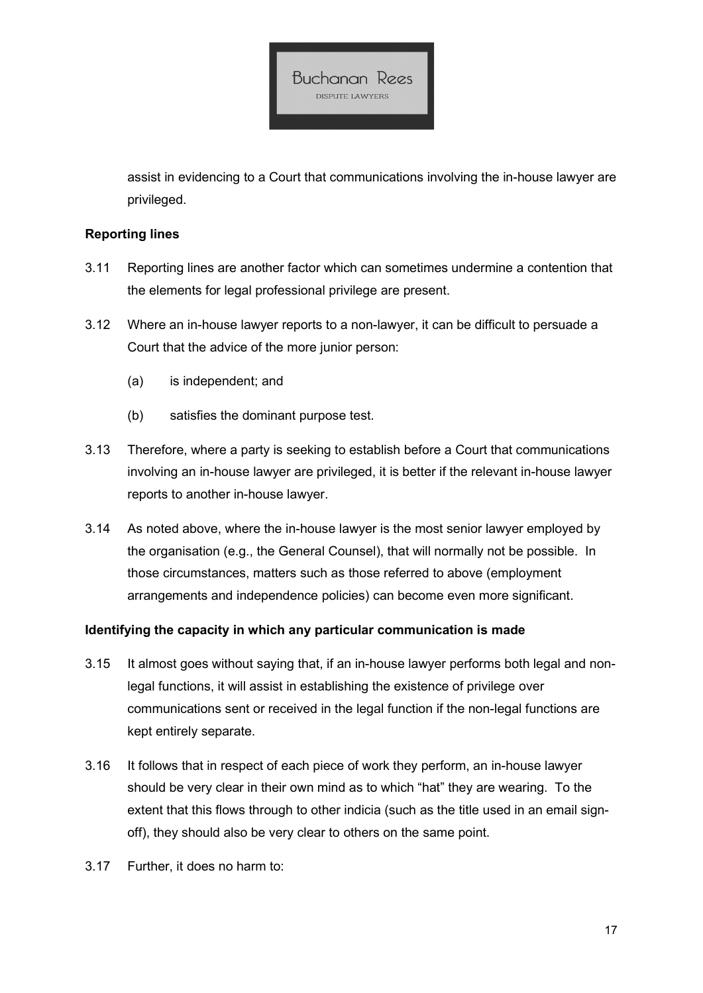

assist in evidencing to a Court that communications involving the in-house lawyer are privileged.

### Reporting lines

- 3.11 Reporting lines are another factor which can sometimes undermine a contention that the elements for legal professional privilege are present.
- 3.12 Where an in-house lawyer reports to a non-lawyer, it can be difficult to persuade a Court that the advice of the more junior person:
	- (a) is independent; and
	- (b) satisfies the dominant purpose test.
- 3.13 Therefore, where a party is seeking to establish before a Court that communications involving an in-house lawyer are privileged, it is better if the relevant in-house lawyer reports to another in-house lawyer.
- 3.14 As noted above, where the in-house lawyer is the most senior lawyer employed by the organisation (e.g., the General Counsel), that will normally not be possible. In those circumstances, matters such as those referred to above (employment arrangements and independence policies) can become even more significant.

#### Identifying the capacity in which any particular communication is made

- 3.15 It almost goes without saying that, if an in-house lawyer performs both legal and nonlegal functions, it will assist in establishing the existence of privilege over communications sent or received in the legal function if the non-legal functions are kept entirely separate.
- 3.16 It follows that in respect of each piece of work they perform, an in-house lawyer should be very clear in their own mind as to which "hat" they are wearing. To the extent that this flows through to other indicia (such as the title used in an email signoff), they should also be very clear to others on the same point.
- 3.17 Further, it does no harm to: